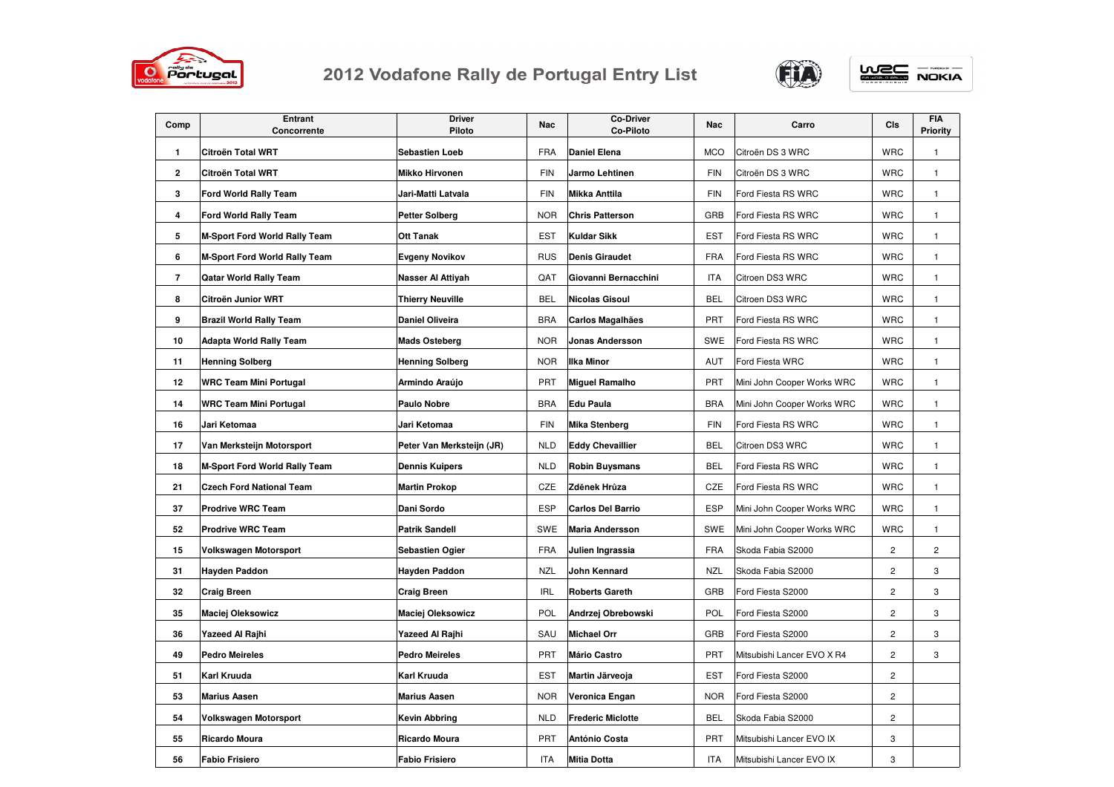

## 2012 Vodafone Rally de Portugal Entry List



**WEC** NOKIA

| Comp                     | <b>Entrant</b><br>Concorrente        | <b>Driver</b><br>Piloto   | Nac        | <b>Co-Driver</b><br>Co-Piloto | Nac        | Carro                      | CIs            | <b>FIA</b><br>Priority  |
|--------------------------|--------------------------------------|---------------------------|------------|-------------------------------|------------|----------------------------|----------------|-------------------------|
| $\mathbf{1}$             | Citroën Total WRT                    | <b>Sebastien Loeb</b>     | <b>FRA</b> | <b>Daniel Elena</b>           | <b>MCO</b> | Citroën DS 3 WRC           | <b>WRC</b>     | $\mathbf{1}$            |
| 2                        | Citroën Total WRT                    | <b>Mikko Hirvonen</b>     | <b>FIN</b> | Jarmo Lehtinen                | <b>FIN</b> | Citroën DS 3 WRC           | WRC            | $\mathbf{1}$            |
| 3                        | Ford World Rally Team                | Jari-Matti Latvala        | <b>FIN</b> | <b>Mikka Anttila</b>          | <b>FIN</b> | Ford Fiesta RS WRC         | <b>WRC</b>     | $\mathbf{1}$            |
| 4                        | Ford World Rally Team                | Petter Solberg            | <b>NOR</b> | <b>Chris Patterson</b>        | GRB        | Ford Fiesta RS WRC         | <b>WRC</b>     | $\mathbf{1}$            |
| 5                        | M-Sport Ford World Rally Team        | Ott Tanak                 | <b>EST</b> | <b>Kuldar Sikk</b>            | <b>EST</b> | Ford Fiesta RS WRC         | <b>WRC</b>     | $\mathbf{1}$            |
| 6                        | M-Sport Ford World Rally Team        | Evgeny Novikov            | <b>RUS</b> | <b>Denis Giraudet</b>         | <b>FRA</b> | Ford Fiesta RS WRC         | <b>WRC</b>     | $\mathbf{1}$            |
| $\overline{\phantom{a}}$ | Qatar World Rally Team               | Nasser Al Attiyah         | QAT        | Giovanni Bernacchini          | ITA        | Citroen DS3 WRC            | <b>WRC</b>     | $\mathbf{1}$            |
| 8                        | Citroën Junior WRT                   | Thierry Neuville          | <b>BEL</b> | <b>Nicolas Gisoul</b>         | <b>BEL</b> | Citroen DS3 WRC            | <b>WRC</b>     | $\mathbf{1}$            |
| 9                        | <b>Brazil World Rally Team</b>       | <b>Daniel Oliveira</b>    | <b>BRA</b> | <b>Carlos Magalhães</b>       | PRT        | Ford Fiesta RS WRC         | <b>WRC</b>     | $\mathbf{1}$            |
| 10                       | Adapta World Rally Team              | <b>Mads Osteberg</b>      | <b>NOR</b> | Jonas Andersson               | SWE        | Ford Fiesta RS WRC         | <b>WRC</b>     | $\mathbf{1}$            |
| 11                       | <b>Henning Solberg</b>               | <b>Henning Solberg</b>    | <b>NOR</b> | <b>Ilka Minor</b>             | AUT        | Ford Fiesta WRC            | <b>WRC</b>     | $\mathbf{1}$            |
| 12                       | WRC Team Mini Portugal               | Armindo Araújo            | PRT        | <b>Miguel Ramalho</b>         | PRT        | Mini John Cooper Works WRC | <b>WRC</b>     | $\mathbf{1}$            |
| 14                       | WRC Team Mini Portugal               | <b>Paulo Nobre</b>        | <b>BRA</b> | Edu Paula                     | <b>BRA</b> | Mini John Cooper Works WRC | <b>WRC</b>     | $\mathbf{1}$            |
| 16                       | Jari Ketomaa                         | Jari Ketomaa              | <b>FIN</b> | <b>Mika Stenberg</b>          | <b>FIN</b> | Ford Fiesta RS WRC         | <b>WRC</b>     | $\mathbf{1}$            |
| 17                       | Van Merksteijn Motorsport            | Peter Van Merksteijn (JR) | <b>NLD</b> | <b>Eddy Chevaillier</b>       | <b>BEL</b> | Citroen DS3 WRC            | <b>WRC</b>     | $\mathbf{1}$            |
| 18                       | <b>M-Sport Ford World Rally Team</b> | <b>Dennis Kuipers</b>     | <b>NLD</b> | <b>Robin Buysmans</b>         | <b>BEL</b> | Ford Fiesta RS WRC         | <b>WRC</b>     | $\mathbf{1}$            |
| 21                       | Czech Ford National Team             | <b>Martin Prokop</b>      | CZE        | Zděnek Hrůza                  | CZE        | Ford Fiesta RS WRC         | <b>WRC</b>     | $\mathbf{1}$            |
| 37                       | <b>Prodrive WRC Team</b>             | Dani Sordo                | <b>ESP</b> | <b>Carlos Del Barrio</b>      | <b>ESP</b> | Mini John Cooper Works WRC | <b>WRC</b>     | $\mathbf{1}$            |
| 52                       | <b>Prodrive WRC Team</b>             | <b>Patrik Sandell</b>     | SWE        | <b>Maria Andersson</b>        | <b>SWE</b> | Mini John Cooper Works WRC | <b>WRC</b>     | $\mathbf{1}$            |
| 15                       | Volkswagen Motorsport                | <b>Sebastien Ogier</b>    | <b>FRA</b> | Julien Ingrassia              | <b>FRA</b> | Skoda Fabia S2000          | $\overline{c}$ | $\overline{\mathbf{c}}$ |
| 31                       | Hayden Paddon                        | Hayden Paddon             | <b>NZL</b> | John Kennard                  | <b>NZL</b> | Skoda Fabia S2000          | $\sqrt{2}$     | 3                       |
| 32                       | Craig Breen                          | <b>Craig Breen</b>        | <b>IRL</b> | <b>Roberts Gareth</b>         | GRB        | Ford Fiesta S2000          | $\overline{c}$ | 3                       |
| 35                       | Maciej Oleksowicz                    | Maciej Oleksowicz         | POL        | Andrzej Obrebowski            | POL        | Ford Fiesta S2000          | $\overline{c}$ | 3                       |
| 36                       | Yazeed Al Rajhi                      | Yazeed Al Rajhi           | SAU        | <b>Michael Orr</b>            | GRB        | Ford Fiesta S2000          | $\overline{c}$ | 3                       |
| 49                       | Pedro Meireles                       | <b>Pedro Meireles</b>     | PRT        | <b>Mário Castro</b>           | <b>PRT</b> | Mitsubishi Lancer EVO X R4 | $\overline{c}$ | 3                       |
| 51                       | Karl Kruuda                          | Karl Kruuda               | <b>EST</b> | Martin Järveoja               | <b>EST</b> | Ford Fiesta S2000          | $\sqrt{2}$     |                         |
| 53                       | <b>Marius Aasen</b>                  | <b>Marius Aasen</b>       | <b>NOR</b> | Veronica Engan                | <b>NOR</b> | Ford Fiesta S2000          | $\overline{c}$ |                         |
| 54                       | Volkswagen Motorsport                | Kevin Abbring             | <b>NLD</b> | <b>Frederic Miclotte</b>      | <b>BEL</b> | Skoda Fabia S2000          | $\mathbf{2}$   |                         |
| 55                       | Ricardo Moura                        | Ricardo Moura             | <b>PRT</b> | António Costa                 | PRT        | Mitsubishi Lancer EVO IX   | 3              |                         |
| 56                       | Fabio Frisiero                       | <b>Fabio Frisiero</b>     | <b>ITA</b> | <b>Mitia Dotta</b>            | ITA        | Mitsubishi Lancer EVO IX   | 3              |                         |